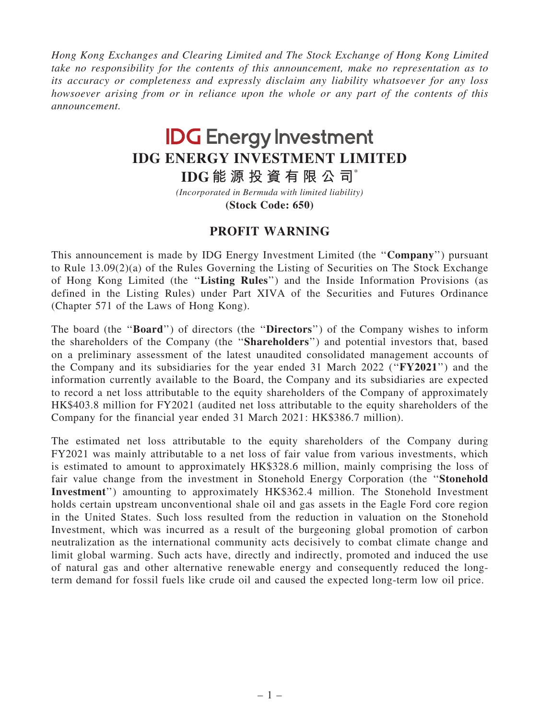Hong Kong Exchanges and Clearing Limited and The Stock Exchange of Hong Kong Limited take no responsibility for the contents of this announcement, make no representation as to its accuracy or completeness and expressly disclaim any liability whatsoever for any loss howsoever arising from or in reliance upon the whole or any part of the contents of this announcement.

## **IDG Energy Investment IDG ENERGY INVESTMENT LIMITED**

**IDG 能 源 投 資 有 限 公 司**\*

**(Stock Code: 650)** *(Incorporated in Bermuda with limited liability)*

## PROFIT WARNING

This announcement is made by IDG Energy Investment Limited (the ''Company'') pursuant to Rule 13.09(2)(a) of the Rules Governing the Listing of Securities on The Stock Exchange of Hong Kong Limited (the ''Listing Rules'') and the Inside Information Provisions (as defined in the Listing Rules) under Part XIVA of the Securities and Futures Ordinance (Chapter 571 of the Laws of Hong Kong).

The board (the "**Board**") of directors (the "**Directors**") of the Company wishes to inform the shareholders of the Company (the ''Shareholders'') and potential investors that, based on a preliminary assessment of the latest unaudited consolidated management accounts of the Company and its subsidiaries for the year ended 31 March 2022 (''FY2021'') and the information currently available to the Board, the Company and its subsidiaries are expected to record a net loss attributable to the equity shareholders of the Company of approximately HK\$403.8 million for FY2021 (audited net loss attributable to the equity shareholders of the Company for the financial year ended 31 March 2021: HK\$386.7 million).

The estimated net loss attributable to the equity shareholders of the Company during FY2021 was mainly attributable to a net loss of fair value from various investments, which is estimated to amount to approximately HK\$328.6 million, mainly comprising the loss of fair value change from the investment in Stonehold Energy Corporation (the ''Stonehold Investment'') amounting to approximately HK\$362.4 million. The Stonehold Investment holds certain upstream unconventional shale oil and gas assets in the Eagle Ford core region in the United States. Such loss resulted from the reduction in valuation on the Stonehold Investment, which was incurred as a result of the burgeoning global promotion of carbon neutralization as the international community acts decisively to combat climate change and limit global warming. Such acts have, directly and indirectly, promoted and induced the use of natural gas and other alternative renewable energy and consequently reduced the longterm demand for fossil fuels like crude oil and caused the expected long-term low oil price.